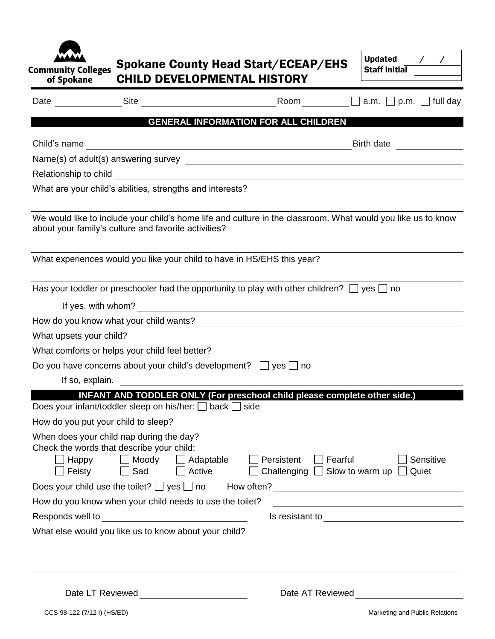| Community Colleges<br>of Spokane |
|----------------------------------|

## Spokane County Head Start/ECEAP/EHS CHILD DEVELOPMENTAL HISTORY

| Updated       |  |  |
|---------------|--|--|
| Staff initial |  |  |
|               |  |  |

 $\Gamma$ 

|                  |                                                                                     |                     |                                                                                                                                                                                                                                | Room $\Box$ a.m. $\Box$ p.m. $\Box$ full day                                                                                                                                                                                         |
|------------------|-------------------------------------------------------------------------------------|---------------------|--------------------------------------------------------------------------------------------------------------------------------------------------------------------------------------------------------------------------------|--------------------------------------------------------------------------------------------------------------------------------------------------------------------------------------------------------------------------------------|
|                  |                                                                                     |                     | <b>GENERAL INFORMATION FOR ALL CHILDREN</b>                                                                                                                                                                                    |                                                                                                                                                                                                                                      |
|                  |                                                                                     |                     | Child's name experience and the set of the set of the set of the set of the set of the set of the set of the set of the set of the set of the set of the set of the set of the set of the set of the set of the set of the set | Birth date                                                                                                                                                                                                                           |
|                  |                                                                                     |                     |                                                                                                                                                                                                                                |                                                                                                                                                                                                                                      |
|                  |                                                                                     |                     |                                                                                                                                                                                                                                |                                                                                                                                                                                                                                      |
|                  | What are your child's abilities, strengths and interests?                           |                     |                                                                                                                                                                                                                                |                                                                                                                                                                                                                                      |
|                  | about your family's culture and favorite activities?                                |                     |                                                                                                                                                                                                                                | We would like to include your child's home life and culture in the classroom. What would you like us to know                                                                                                                         |
|                  | What experiences would you like your child to have in HS/EHS this year?             |                     |                                                                                                                                                                                                                                |                                                                                                                                                                                                                                      |
|                  |                                                                                     |                     | Has your toddler or preschooler had the opportunity to play with other children? $\Box$ yes $\Box$ no                                                                                                                          |                                                                                                                                                                                                                                      |
|                  |                                                                                     |                     | If yes, with whom?<br><u>Conservation</u>                                                                                                                                                                                      |                                                                                                                                                                                                                                      |
|                  |                                                                                     |                     |                                                                                                                                                                                                                                |                                                                                                                                                                                                                                      |
|                  |                                                                                     |                     |                                                                                                                                                                                                                                |                                                                                                                                                                                                                                      |
|                  |                                                                                     |                     |                                                                                                                                                                                                                                | What comforts or helps your child feel better? __________________________________                                                                                                                                                    |
|                  | Do you have concerns about your child's development? $\Box$ yes $\Box$ no           |                     |                                                                                                                                                                                                                                |                                                                                                                                                                                                                                      |
|                  | If so, explain.                                                                     |                     |                                                                                                                                                                                                                                |                                                                                                                                                                                                                                      |
|                  |                                                                                     |                     |                                                                                                                                                                                                                                | INFANT AND TODDLER ONLY (For preschool child please complete other side.)                                                                                                                                                            |
|                  | Does your infant/toddler sleep on his/her: $\Box$ back $\Box$ side                  |                     |                                                                                                                                                                                                                                |                                                                                                                                                                                                                                      |
|                  |                                                                                     |                     |                                                                                                                                                                                                                                |                                                                                                                                                                                                                                      |
|                  | When does your child nap during the day?                                            |                     |                                                                                                                                                                                                                                |                                                                                                                                                                                                                                      |
|                  | Check the words that describe your child:<br>$\Box$ Moody<br>Happy<br>Feisty<br>Sad | Adaptable<br>Active | Persistent                                                                                                                                                                                                                     | Fearful<br>Sensitive<br>Challenging $\Box$ Slow to warm up $\Box$<br>Quiet                                                                                                                                                           |
|                  |                                                                                     |                     |                                                                                                                                                                                                                                |                                                                                                                                                                                                                                      |
|                  | How do you know when your child needs to use the toilet?                            |                     |                                                                                                                                                                                                                                | <u> 1989 - Johann Stoff, deutscher Stoffen und der Stoffen und der Stoffen und der Stoffen und der Stoffen und der</u>                                                                                                               |
| Responds well to |                                                                                     |                     |                                                                                                                                                                                                                                | Is resistant to <b>with the contract of the contract of the contract of the contract of the contract of the contract of the contract of the contract of the contract of the contract of the contract of the contract of the cont</b> |
|                  | What else would you like us to know about your child?                               |                     |                                                                                                                                                                                                                                |                                                                                                                                                                                                                                      |
|                  |                                                                                     |                     |                                                                                                                                                                                                                                |                                                                                                                                                                                                                                      |
|                  |                                                                                     |                     |                                                                                                                                                                                                                                |                                                                                                                                                                                                                                      |

Date LT Reviewed **Date AT Reviewed**